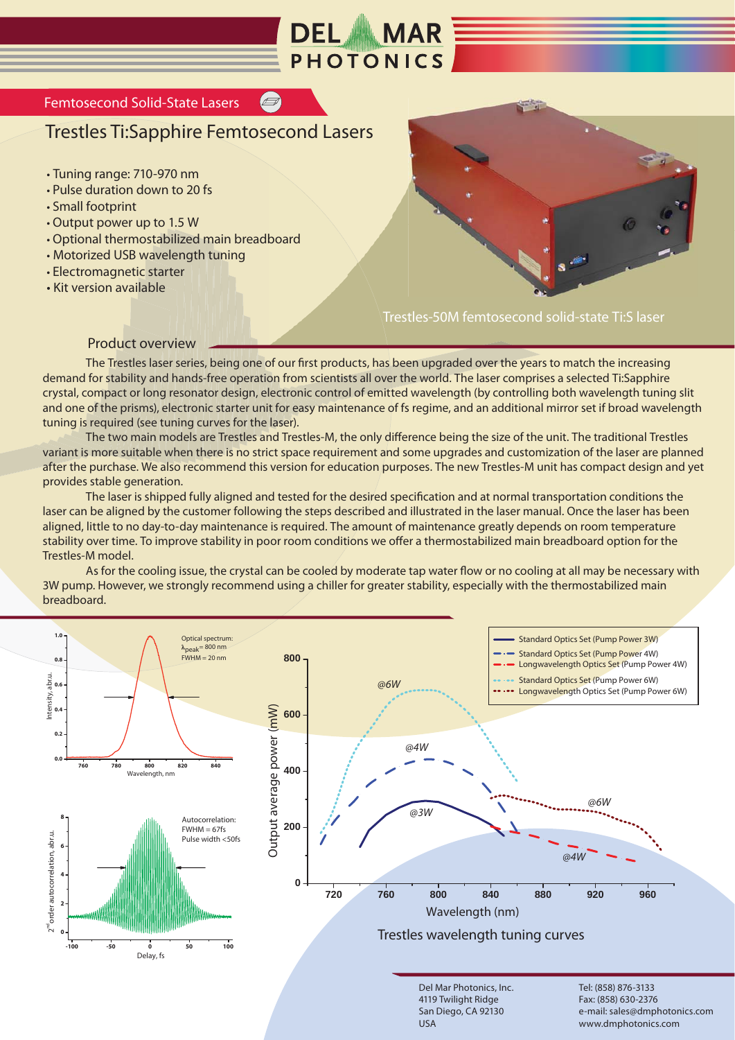

## Femtosecond Solid-State Lasers

## Trestles Ti:Sapphire Femtosecond Lasers

- Tuning range: 710-970 nm
- Pulse duration down to 20 fs
- Small footprint
- Output power up to 1.5 W
- Optional thermostabilized main breadboard
- Motorized USB wavelength tuning
- Electromagnetic starter
- Kit version available



Trestles-50M femtosecond solid-state Ti:S laser

## Product overview

 The Trestles laser series, being one of our first products, has been upgraded over the years to match the increasing demand for stability and hands-free operation from scientists all over the world. The laser comprises a selected Ti:Sapphire crystal, compact or long resonator design, electronic control of emitted wavelength (by controlling both wavelength tuning slit and one of the prisms), electronic starter unit for easy maintenance of fs regime, and an additional mirror set if broad wavelength tuning is required (see tuning curves for the laser).

 The two main models are Trestles and Trestles-M, the only difference being the size of the unit. The traditional Trestles variant is more suitable when there is no strict space requirement and some upgrades and customization of the laser are planned after the purchase. We also recommend this version for education purposes. The new Trestles-M unit has compact design and yet provides stable generation.

 The laser is shipped fully aligned and tested for the desired specification and at normal transportation conditions the laser can be aligned by the customer following the steps described and illustrated in the laser manual. Once the laser has been aligned, little to no day-to-day maintenance is required. The amount of maintenance greatly depends on room temperature stability over time. To improve stability in poor room conditions we offer a thermostabilized main breadboard option for the Trestles-M model.

 As for the cooling issue, the crystal can be cooled by moderate tap water flow or no cooling at all may be necessary with 3W pump. However, we strongly recommend using a chiller for greater stability, especially with the thermostabilized main breadboard.